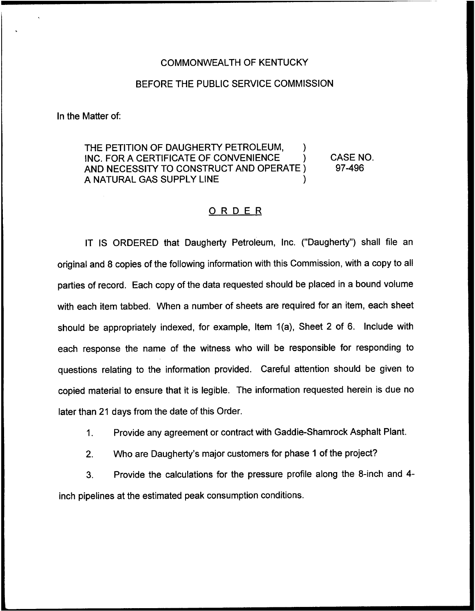## COMMONWEALTH OF KENTUCKY

## BEFORE THE PUBLIC SERVICE COMMISSION

In the Matter of:

THE PETITION OF DAUGHERTY PETROLEUM, INC. FOR A CERTIFICATE OF CONVENIENCE AND NECESSITY TO CONSTRUCT AND OPERATE ) A NATURAL GAS SUPPLY LINE CASE NO. 97-496

## ORDER

IT IS ORDERED that Daugherty Petroleum, Inc. ("Daugherty") shall file an original and 8 copies of the following information with this Commission, with a copy to all parties of record. Each copy of the data requested should be placed in a bound volume with each item tabbed. When a number of sheets are required for an item, each sheet should be appropriately indexed, for example, Item 1(a), Sheet 2 of 6. Include with each response the name of the witness who will be responsible for responding to questions relating to the information provided. Careful attention should be given to copied material to ensure that it is legible. The information requested herein is due no later than 21 days from the date of this Order.

1. Provide any agreement or contract with Gaddie-Shamrock Asphalt Plant.

2. Who are Daugherty's major customers for phase <sup>1</sup> of the project?

3. Provide the calculations for the pressure profile along the 8-inch and 4 inch pipelines at the estimated peak consumption conditions.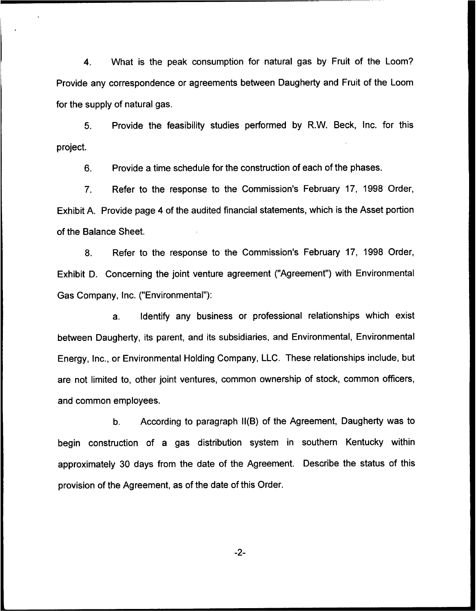4. What is the peak consumption for natural gas by Fruit of the Loom? Provide any correspondence or agreements between Daugherty and Fruit of the Loom for the supply of natural gas.

5. Provide the feasibility studies performed by R.W. Beck, Inc. for this project.

6. Provide a time schedule for the construction of each of the phases.

7. Refer to the response to the Commission's February 17, 1998 Order, Exhibit A. Provide page 4 of the audited financial statements, which is the Asset portion of the Balance Sheet.

8. Refer to the response to the Commission's February 17, 1998 Order, Exhibit D. Concerning the joint venture agreement ("Agreement") with Environmental Gas Company, Inc. ("Environmental"):

a. Identify any business or professional relationships which exist between Daugherty, its parent, and its subsidiaries, and Environmental, Environmental Energy, Inc., or Environmental Holding Company, LLC. These relationships include, but are not limited to, other joint ventures, common ownership of stock, common officers, and common employees.

b. According to paragraph ll(B) of the Agreement, Daugherty was to begin construction of a gas distribution system in southern Kentucky within approximately 30 days from the date of the Agreement. Describe the status of this provision of the Agreement, as of the date of this Order.

 $-2-$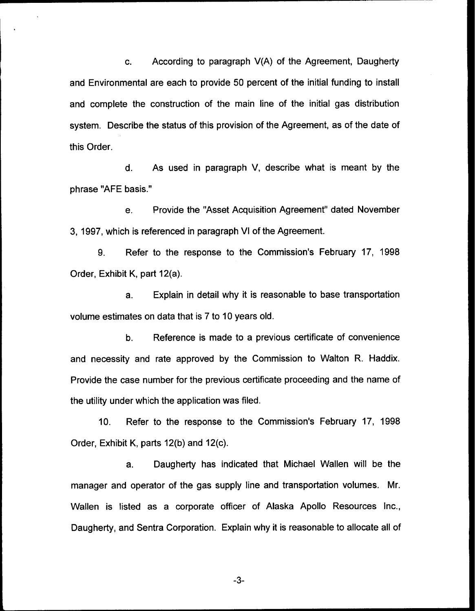c. According to paragraph V(A) of the Agreement, Daugherty and Environmental are each to provide 50 percent of the initial funding to install and complete the construction of the main line of the initial gas distribution system. Describe the status of this provision of the Agreement, as of the date of this Order.

d. As used in paragraph V, describe what is meant by the phrase "AFE basis."

e. Provide the "Asset Acquisition Agreement" dated November 3, 1997, which is referenced in paragraph Vl of the Agreement.

9. Refer to the response to the Commission's February 17, 1998 Order, Exhibit K, part 12(a).

a. Explain in detail why it is reasonable to base transportation volume estimates on data that is 7 to 10 years old.

b. Reference is made to a previous certificate of convenience and necessity and rate approved by the Commission to Walton R. Haddix. Provide the case number for the previous certificate proceeding and the name of the utility under which the application was filed.

10. Refer to the response to the Commission's February 17, 1998 Order, Exhibit K, parts 12(b) and 12(c).

a. Daugherty has indicated that Michael Wallen will be the manager and operator of the gas supply line and transportation volumes. Mr. Wallen is listed as a corporate officer of Alaska Apollo Resources Inc., Daugherty, and Sentra Corporation. Explain why it is reasonable to allocate all of

-3-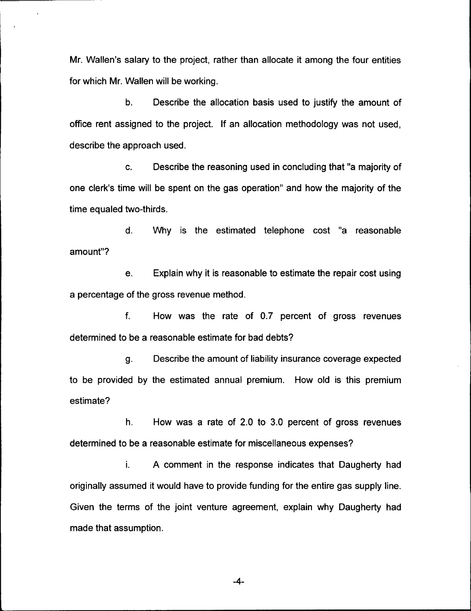Mr. Wallen's salary to the project, rather than allocate it among the four entities for which Mr. Wallen will be working.

b. Describe the allocation basis used to justify the amount of office rent assigned to the project. If an allocation methodology was not used, describe the approach used.

c. Describe the reasoning used in concluding that "a majority of one clerk's time will be spent on the gas operation" and how the majority of the time equaled two-thirds.

d. Why is the estimated telephone cost "a reasonable amount"?

e. Explain why it is reasonable to estimate the repair cost using a percentage of the gross revenue method.

 $f_{\cdot}$ How was the rate of 0.7 percent of gross revenues determined to be a reasonable estimate for bad debts?

g. Describe the amount of liability insurance coverage expected to be provided by the estimated annual premium. How old is this premium estimate?

h. How was a rate of 2.0 to 3.0 percent of gross revenues determined to be a reasonable estimate for miscellaneous expenses?

i. A comment in the response indicates that Daugherty had originally assumed it would have to provide funding for the entire gas supply line. Given the terms of the joint venture agreement, explain why Daugherty had made that assumption.

 $-4-$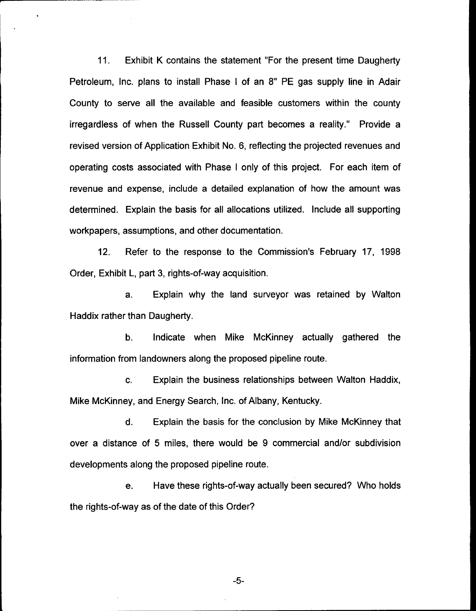11. Exhibit <sup>K</sup> contains the statement "For the present time Daugherty Petroleum, Inc. plans to install Phase <sup>I</sup> of an 8" PE gas supply line in Adair County to serve all the available and feasible customers within the county irregardless of when the Russell County part becomes a reality." Provide a revised version of Application Exhibit No. 6, reflecting the projected revenues and operating costs associated with Phase <sup>I</sup> only of this project. For each item of revenue and expense, include a detailed explanation of how the amount was determined. Explain the basis for all allocations utilized. Include all supporting workpapers, assumptions, and other documentation.

12. Refer to the response to the Commission's February 17, 1998 Order, Exhibit L, part 3, rights-of-way acquisition.

a. Explain why the land surveyor was retained by Walton Haddix rather than Daugherty.

b. Indicate when Mike McKinney actually gathered the information from landowners along the proposed pipeline route.

c. Explain the business relationships between Walton Haddix, Mike McKinney, and Energy Search, Inc. of Albany, Kentucky.

d. Explain the basis for the conclusion by Mike McKinney that over a distance of 5 miles, there would be 9 commercial and/or subdivision developments along the proposed pipeline route.

e. Have these rights-of-way actually been secured? Who holds the rights-of-way as of the date of this Order?

 $-5-$